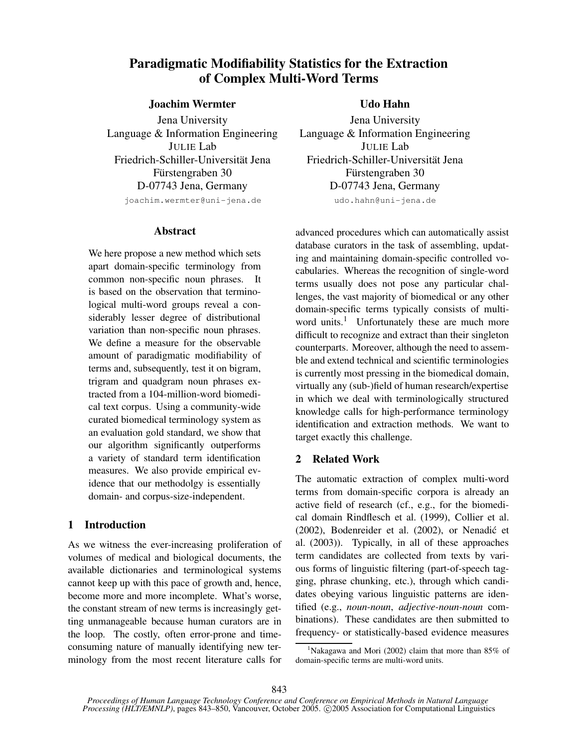# **Paradigmatic Modifiability Statistics for the Extraction of Complex Multi-Word Terms**

## **Joachim Wermter**

Jena University Language & Information Engineering JULIE Lab Friedrich-Schiller-Universität Jena Fürstengraben 30 D-07743 Jena, Germany

joachim.wermter@uni-jena.de

## **Abstract**

We here propose a new method which sets apart domain-specific terminology from common non-specific noun phrases. It is based on the observation that terminological multi-word groups reveal a considerably lesser degree of distributional variation than non-specific noun phrases. We define a measure for the observable amount of paradigmatic modifiability of terms and, subsequently, test it on bigram, trigram and quadgram noun phrases extracted from a 104-million-word biomedical text corpus. Using a community-wide curated biomedical terminology system as an evaluation gold standard, we show that our algorithm significantly outperforms a variety of standard term identification measures. We also provide empirical evidence that our methodolgy is essentially domain- and corpus-size-independent.

## **1 Introduction**

As we witness the ever-increasing proliferation of volumes of medical and biological documents, the available dictionaries and terminological systems cannot keep up with this pace of growth and, hence, become more and more incomplete. What's worse, the constant stream of new terms is increasingly getting unmanageable because human curators are in the loop. The costly, often error-prone and timeconsuming nature of manually identifying new terminology from the most recent literature calls for

## **Udo Hahn**

Jena University Language & Information Engineering JULIE Lab Friedrich-Schiller-Universität Jena Fürstengraben 30 D-07743 Jena, Germany udo.hahn@uni-jena.de

advanced procedures which can automatically assist database curators in the task of assembling, updating and maintaining domain-specific controlled vocabularies. Whereas the recognition of single-word terms usually does not pose any particular challenges, the vast majority of biomedical or any other domain-specific terms typically consists of multiword units.<sup>1</sup> Unfortunately these are much more difficult to recognize and extract than their singleton counterparts. Moreover, although the need to assemble and extend technical and scientific terminologies is currently most pressing in the biomedical domain, virtually any (sub-)field of human research/expertise in which we deal with terminologically structured knowledge calls for high-performance terminology identification and extraction methods. We want to target exactly this challenge.

## **2 Related Work**

The automatic extraction of complex multi-word terms from domain-specific corpora is already an active field of research (cf., e.g., for the biomedical domain Rindflesch et al. (1999), Collier et al. (2002), Bodenreider et al. (2002), or Nenadić et al. (2003)). Typically, in all of these approaches term candidates are collected from texts by various forms of linguistic filtering (part-of-speech tagging, phrase chunking, etc.), through which candidates obeying various linguistic patterns are identified (e.g., *noun-noun*, *adjective-noun-noun* combinations). These candidates are then submitted to frequency- or statistically-based evidence measures

<sup>&</sup>lt;sup>1</sup>Nakagawa and Mori (2002) claim that more than  $85\%$  of domain-specific terms are multi-word units.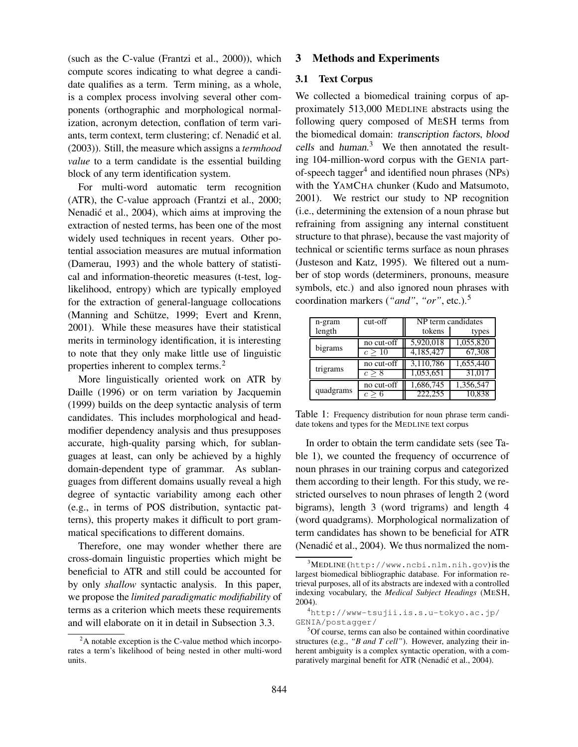(such as the C-value (Frantzi et al., 2000)), which compute scores indicating to what degree a candidate qualifies as a term. Term mining, as a whole, is a complex process involving several other components (orthographic and morphological normalization, acronym detection, conflation of term variants, term context, term clustering; cf. Nenadić et al. (2003)). Still, the measure which assigns a *termhood value* to a term candidate is the essential building block of any term identification system.

For multi-word automatic term recognition (ATR), the C-value approach (Frantzi et al., 2000; Nenadić et al., 2004), which aims at improving the extraction of nested terms, has been one of the most widely used techniques in recent years. Other potential association measures are mutual information (Damerau, 1993) and the whole battery of statistical and information-theoretic measures (t-test, loglikelihood, entropy) which are typically employed for the extraction of general-language collocations (Manning and Schütze, 1999; Evert and Krenn, 2001). While these measures have their statistical merits in terminology identification, it is interesting to note that they only make little use of linguistic properties inherent to complex terms.<sup>2</sup>

More linguistically oriented work on ATR by Daille (1996) or on term variation by Jacquemin (1999) builds on the deep syntactic analysis of term candidates. This includes morphological and headmodifier dependency analysis and thus presupposes accurate, high-quality parsing which, for sublanguages at least, can only be achieved by a highly domain-dependent type of grammar. As sublanguages from different domains usually reveal a high degree of syntactic variability among each other (e.g., in terms of POS distribution, syntactic patterns), this property makes it difficult to port grammatical specifications to different domains.

Therefore, one may wonder whether there are cross-domain linguistic properties which might be beneficial to ATR and still could be accounted for by only *shallow* syntactic analysis. In this paper, we propose the *limited paradigmatic modifiability* of terms as a criterion which meets these requirements and will elaborate on it in detail in Subsection 3.3.

## **3 Methods and Experiments**

### **3.1 Text Corpus**

We collected a biomedical training corpus of approximately 513,000 MEDLINE abstracts using the following query composed of MESH terms from the biomedical domain: transcription factors, blood cells and human. <sup>3</sup> We then annotated the resulting 104-million-word corpus with the GENIA partof-speech tagger<sup>4</sup> and identified noun phrases (NPs) with the YAMCHA chunker (Kudo and Matsumoto, 2001). We restrict our study to NP recognition (i.e., determining the extension of a noun phrase but refraining from assigning any internal constituent structure to that phrase), because the vast majority of technical or scientific terms surface as noun phrases (Justeson and Katz, 1995). We filtered out a number of stop words (determiners, pronouns, measure symbols, etc.) and also ignored noun phrases with coordination markers (*"and"*, *"or"*, etc.).<sup>5</sup>

| n-gram    | cut-off     | NP term candidates |           |  |
|-----------|-------------|--------------------|-----------|--|
| length    |             | tokens             | types     |  |
|           | no cut-off  | 5,920,018          | 1,055,820 |  |
| bigrams   | $c \geq 10$ | 4,185,427          | 67,308    |  |
|           | no cut-off  | 3,110,786          | 1,655,440 |  |
| trigrams  |             | 1,053,651          | 31,017    |  |
| quadgrams | no cut-off  | 1,686,745          | 1,356,547 |  |
|           |             | 222,255            | 10.838    |  |

Table 1: Frequency distribution for noun phrase term candidate tokens and types for the MEDLINE text corpus

In order to obtain the term candidate sets (see Table 1), we counted the frequency of occurrence of noun phrases in our training corpus and categorized them according to their length. For this study, we restricted ourselves to noun phrases of length 2 (word bigrams), length 3 (word trigrams) and length 4 (word quadgrams). Morphological normalization of term candidates has shown to be beneficial for ATR (Nenadić et al., 2004). We thus normalized the nom-

 $2<sup>2</sup>A$  notable exception is the C-value method which incorporates a term's likelihood of being nested in other multi-word units.

 $3^3$ MEDLINE (http://www.ncbi.nlm.nih.gov) is the largest biomedical bibliographic database. For information retrieval purposes, all of its abstracts are indexed with a controlled indexing vocabulary, the *Medical Subject Headings* (MESH, 2004).

<sup>4</sup>http://www-tsujii.is.s.u-tokyo.ac.jp/ GENIA/postagger/

<sup>5</sup>Of course, terms can also be contained within coordinative structures (e.g., *"B and T cell"*). However, analyzing their inherent ambiguity is a complex syntactic operation, with a comparatively marginal benefit for ATR (Nenadić et al., 2004).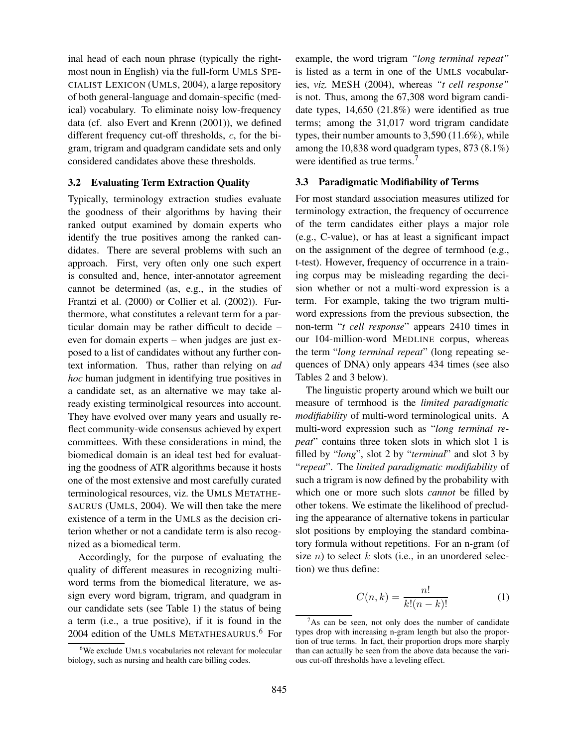inal head of each noun phrase (typically the rightmost noun in English) via the full-form UMLS SPE-CIALIST LEXICON (UMLS, 2004), a large repository of both general-language and domain-specific (medical) vocabulary. To eliminate noisy low-frequency data (cf. also Evert and Krenn (2001)), we defined different frequency cut-off thresholds, c, for the bigram, trigram and quadgram candidate sets and only considered candidates above these thresholds.

#### **3.2 Evaluating Term Extraction Quality**

Typically, terminology extraction studies evaluate the goodness of their algorithms by having their ranked output examined by domain experts who identify the true positives among the ranked candidates. There are several problems with such an approach. First, very often only one such expert is consulted and, hence, inter-annotator agreement cannot be determined (as, e.g., in the studies of Frantzi et al. (2000) or Collier et al. (2002)). Furthermore, what constitutes a relevant term for a particular domain may be rather difficult to decide – even for domain experts – when judges are just exposed to a list of candidates without any further context information. Thus, rather than relying on *ad hoc* human judgment in identifying true positives in a candidate set, as an alternative we may take already existing terminolgical resources into account. They have evolved over many years and usually reflect community-wide consensus achieved by expert committees. With these considerations in mind, the biomedical domain is an ideal test bed for evaluating the goodness of ATR algorithms because it hosts one of the most extensive and most carefully curated terminological resources, viz. the UMLS METATHE-SAURUS (UMLS, 2004). We will then take the mere existence of a term in the UMLS as the decision criterion whether or not a candidate term is also recognized as a biomedical term.

Accordingly, for the purpose of evaluating the quality of different measures in recognizing multiword terms from the biomedical literature, we assign every word bigram, trigram, and quadgram in our candidate sets (see Table 1) the status of being a term (i.e., a true positive), if it is found in the 2004 edition of the UMLS METATHESAURUS. <sup>6</sup> For

example, the word trigram *"long terminal repeat"* is listed as a term in one of the UMLS vocabularies, *viz.* MESH (2004), whereas *"t cell response"* is not. Thus, among the 67,308 word bigram candidate types, 14,650 (21.8%) were identified as true terms; among the 31,017 word trigram candidate types, their number amounts to 3,590 (11.6%), while among the 10,838 word quadgram types, 873 (8.1%) were identified as true terms.<sup>7</sup>

#### **3.3 Paradigmatic Modifiability of Terms**

For most standard association measures utilized for terminology extraction, the frequency of occurrence of the term candidates either plays a major role (e.g., C-value), or has at least a significant impact on the assignment of the degree of termhood (e.g., t-test). However, frequency of occurrence in a training corpus may be misleading regarding the decision whether or not a multi-word expression is a term. For example, taking the two trigram multiword expressions from the previous subsection, the non-term "*t cell response*" appears 2410 times in our 104-million-word MEDLINE corpus, whereas the term "*long terminal repeat*" (long repeating sequences of DNA) only appears 434 times (see also Tables 2 and 3 below).

The linguistic property around which we built our measure of termhood is the *limited paradigmatic modifiability* of multi-word terminological units. A multi-word expression such as "*long terminal repeat*" contains three token slots in which slot 1 is filled by "*long*", slot 2 by "*terminal*" and slot 3 by "*repeat*". The *limited paradigmatic modifiability* of such a trigram is now defined by the probability with which one or more such slots *cannot* be filled by other tokens. We estimate the likelihood of precluding the appearance of alternative tokens in particular slot positions by employing the standard combinatory formula without repetitions. For an n-gram (of size *n*) to select  $k$  slots (i.e., in an unordered selection) we thus define:

$$
C(n,k) = \frac{n!}{k!(n-k)!}
$$
 (1)

<sup>6</sup>We exclude UMLS vocabularies not relevant for molecular biology, such as nursing and health care billing codes.

 $7$ As can be seen, not only does the number of candidate types drop with increasing n-gram length but also the proportion of true terms. In fact, their proportion drops more sharply than can actually be seen from the above data because the various cut-off thresholds have a leveling effect.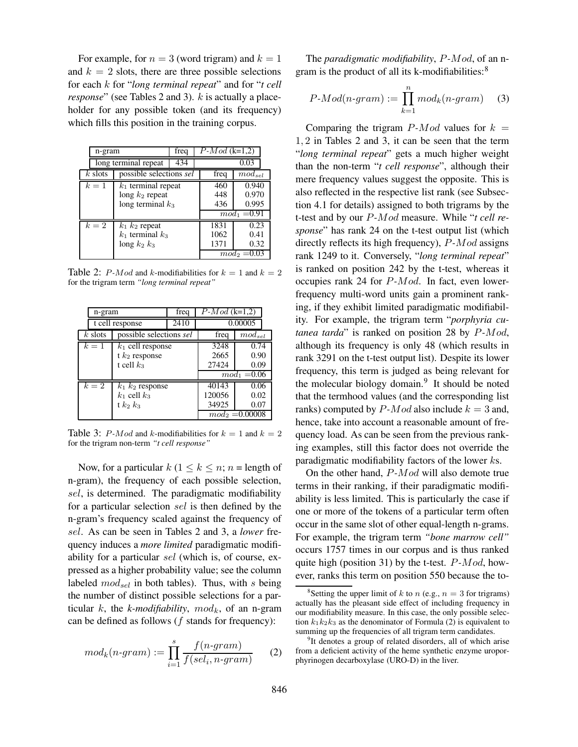For example, for  $n = 3$  (word trigram) and  $k = 1$ and  $k = 2$  slots, there are three possible selections for each k for "*long terminal repeat*" and for "*t cell response*" (see Tables 2 and 3). *k* is actually a placeholder for any possible token (and its frequency) which fills this position in the training corpus.

| n-gram               |                               | freq | $P-Mod$ (k=1,2)     |                |  |
|----------------------|-------------------------------|------|---------------------|----------------|--|
| long terminal repeat |                               | 434  |                     | 0.03           |  |
| $k$ slots            | possible selections sel       |      | freq<br>$mod_{sel}$ |                |  |
| $k=1$                | $k_1$ terminal repeat         |      | 460                 | 0.940          |  |
|                      | long $k_2$ repeat             | 448  | 0.970               |                |  |
|                      | long terminal $k_3$           | 436  | 0.995               |                |  |
|                      |                               |      |                     | $mod_1 = 0.91$ |  |
| $k=2$                | $\overline{k}_1$ $k_2$ repeat |      | 1831                | 0.23           |  |
|                      | $k_1$ terminal $k_3$          |      | 1062                | 0.41           |  |
|                      | long $k_2$ $k_3$              |      | 1371                | 0.32           |  |
|                      |                               |      |                     | $mod_2 = 0.03$ |  |

Table 2: *P-Mod* and *k*-modifiabilities for  $k = 1$  and  $k = 2$ for the trigram term *"long terminal repeat"*

| n-gram          |                         | freq | $P-Mod (k=1,2)$ |                   |  |
|-----------------|-------------------------|------|-----------------|-------------------|--|
| t cell response |                         | 2410 | 0.00005         |                   |  |
| $k$ slots       | possible selections sel |      | freq            | $mod_{sel}$       |  |
| $k=1$           | $k_1$ cell response     |      | 3248            | 0.74              |  |
|                 | t $k_2$ response        |      | 2665            | 0.90              |  |
|                 | t cell $k_3$            |      | 27424           | 0.09              |  |
|                 |                         |      | $mod_1 = 0.06$  |                   |  |
| $k=2$           | $k_1$ $k_2$ response    |      | 40143           | 0.06              |  |
|                 | $k_1$ cell $k_3$        |      | 120056          | 0.02              |  |
|                 | t $k_2$ $k_3$           |      | 34925           | 0.07              |  |
|                 |                         |      |                 | $mod_2 = 0.00008$ |  |

Table 3: P-Mod and k-modifiabilities for  $k = 1$  and  $k = 2$ for the trigram non-term *"t cell response"*

Now, for a particular  $k$  ( $1 \leq k \leq n$ ;  $n =$  length of n-gram), the frequency of each possible selection, sel, is determined. The paradigmatic modifiability for a particular selection sel is then defined by the n-gram's frequency scaled against the frequency of sel. As can be seen in Tables 2 and 3, a *lower* frequency induces a *more limited* paradigmatic modifiability for a particular sel (which is, of course, expressed as a higher probability value; see the column labeled  $mod_{sel}$  in both tables). Thus, with s being the number of distinct possible selections for a particular  $k$ , the  $k$ -modifiability,  $mod_k$ , of an n-gram can be defined as follows  $(f$  stands for frequency):

$$
mod_k(n\text{-}gram) := \prod_{i=1}^s \frac{f(n\text{-}gram)}{f(self, n\text{-}gram)} \qquad (2)
$$

The *paradigmatic modifiability*, P*-*Mod, of an ngram is the product of all its k-modifiabilities:<sup>8</sup>

$$
P\text{-}Mod(n\text{-}gram) := \prod_{k=1}^{n} mod_k(n\text{-}gram) \quad (3)
$$

Comparing the trigram  $P$ -Mod values for  $k =$ 1, 2 in Tables 2 and 3, it can be seen that the term "*long terminal repeat*" gets a much higher weight than the non-term "*t cell response*", although their mere frequency values suggest the opposite. This is also reflected in the respective list rank (see Subsection 4.1 for details) assigned to both trigrams by the t-test and by our P*-*Mod measure. While "*t cell response*" has rank 24 on the t-test output list (which directly reflects its high frequency), P*-*Mod assigns rank 1249 to it. Conversely, "*long terminal repeat*" is ranked on position 242 by the t-test, whereas it occupies rank 24 for P*-*Mod. In fact, even lowerfrequency multi-word units gain a prominent ranking, if they exhibit limited paradigmatic modifiability. For example, the trigram term "*porphyria cutanea tarda*" is ranked on position 28 by P*-*Mod, although its frequency is only 48 (which results in rank 3291 on the t-test output list). Despite its lower frequency, this term is judged as being relevant for the molecular biology domain.<sup>9</sup> It should be noted that the termhood values (and the corresponding list ranks) computed by  $P$ -Mod also include  $k = 3$  and, hence, take into account a reasonable amount of frequency load. As can be seen from the previous ranking examples, still this factor does not override the paradigmatic modifiability factors of the lower ks.

On the other hand, P*-*Mod will also demote true terms in their ranking, if their paradigmatic modifiability is less limited. This is particularly the case if one or more of the tokens of a particular term often occur in the same slot of other equal-length n-grams. For example, the trigram term *"bone marrow cell"* occurs 1757 times in our corpus and is thus ranked quite high (position 31) by the t-test. P*-*Mod, however, ranks this term on position 550 because the to-

<sup>&</sup>lt;sup>8</sup>Setting the upper limit of k to n (e.g.,  $n = 3$  for trigrams) actually has the pleasant side effect of including frequency in our modifiability measure. In this case, the only possible selection  $k_1k_2k_3$  as the denominator of Formula (2) is equivalent to summing up the frequencies of all trigram term candidates.

<sup>&</sup>lt;sup>9</sup>It denotes a group of related disorders, all of which arise from a deficient activity of the heme synthetic enzyme uroporphyrinogen decarboxylase (URO-D) in the liver.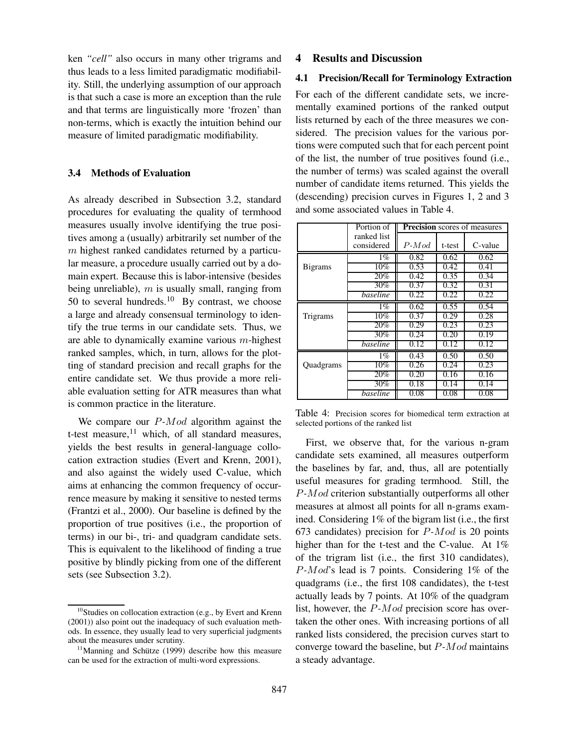ken *"cell"* also occurs in many other trigrams and thus leads to a less limited paradigmatic modifiability. Still, the underlying assumption of our approach is that such a case is more an exception than the rule and that terms are linguistically more 'frozen' than non-terms, which is exactly the intuition behind our measure of limited paradigmatic modifiability.

#### **3.4 Methods of Evaluation**

As already described in Subsection 3.2, standard procedures for evaluating the quality of termhood measures usually involve identifying the true positives among a (usually) arbitrarily set number of the m highest ranked candidates returned by a particular measure, a procedure usually carried out by a domain expert. Because this is labor-intensive (besides being unreliable),  $m$  is usually small, ranging from 50 to several hundreds.<sup>10</sup> By contrast, we choose a large and already consensual terminology to identify the true terms in our candidate sets. Thus, we are able to dynamically examine various m-highest ranked samples, which, in turn, allows for the plotting of standard precision and recall graphs for the entire candidate set. We thus provide a more reliable evaluation setting for ATR measures than what is common practice in the literature.

We compare our P*-*Mod algorithm against the t-test measure, $11$  which, of all standard measures, yields the best results in general-language collocation extraction studies (Evert and Krenn, 2001), and also against the widely used C-value, which aims at enhancing the common frequency of occurrence measure by making it sensitive to nested terms (Frantzi et al., 2000). Our baseline is defined by the proportion of true positives (i.e., the proportion of terms) in our bi-, tri- and quadgram candidate sets. This is equivalent to the likelihood of finding a true positive by blindly picking from one of the different sets (see Subsection 3.2).

## **4 Results and Discussion**

## **4.1 Precision/Recall for Terminology Extraction**

For each of the different candidate sets, we incrementally examined portions of the ranked output lists returned by each of the three measures we considered. The precision values for the various portions were computed such that for each percent point of the list, the number of true positives found (i.e., the number of terms) was scaled against the overall number of candidate items returned. This yields the (descending) precision curves in Figures 1, 2 and 3 and some associated values in Table 4.

|                 | Portion of  | <b>Precision</b> scores of measures |        |         |  |
|-----------------|-------------|-------------------------------------|--------|---------|--|
|                 | ranked list |                                     |        |         |  |
|                 | considered  | $P-Mod$                             | t-test | C-value |  |
|                 | $1\%$       | 0.82                                | 0.62   | 0.62    |  |
| <b>B</b> igrams | 10%         | 0.53                                | 0.42   | 0.41    |  |
|                 | 20%         | 0.42                                | 0.35   | 0.34    |  |
|                 | 30%         | 0.37                                | 0.32   | 0.31    |  |
|                 | baseline    | 0.22                                | 0.22   | 0.22    |  |
|                 | $1\%$       | 0.62                                | 0.55   | 0.54    |  |
| Trigrams        | 10%         | 0.37                                | 0.29   | 0.28    |  |
|                 | 20%         | 0.29                                | 0.23   | 0.23    |  |
|                 | 30%         | 0.24                                | 0.20   | 0.19    |  |
|                 | baseline    | 0.12                                | 0.12   | 0.12    |  |
|                 | $1\%$       | 0.43                                | 0.50   | 0.50    |  |
| Quadgrams       | 10%         | 0.26                                | 0.24   | 0.23    |  |
|                 | 20%         | 0.20                                | 0.16   | 0.16    |  |
|                 | 30%         | 0.18                                | 0.14   | 0.14    |  |
|                 | baseline    | 0.08                                | 0.08   | 0.08    |  |

Table 4: Precision scores for biomedical term extraction at selected portions of the ranked list

First, we observe that, for the various n-gram candidate sets examined, all measures outperform the baselines by far, and, thus, all are potentially useful measures for grading termhood. Still, the P*-*Mod criterion substantially outperforms all other measures at almost all points for all n-grams examined. Considering 1% of the bigram list (i.e., the first 673 candidates) precision for P*-*Mod is 20 points higher than for the t-test and the C-value. At 1% of the trigram list (i.e., the first 310 candidates), P*-*Mod's lead is 7 points. Considering 1% of the quadgrams (i.e., the first 108 candidates), the t-test actually leads by 7 points. At 10% of the quadgram list, however, the P*-*Mod precision score has overtaken the other ones. With increasing portions of all ranked lists considered, the precision curves start to converge toward the baseline, but P*-*Mod maintains a steady advantage.

<sup>&</sup>lt;sup>10</sup>Studies on collocation extraction (e.g., by Evert and Krenn (2001)) also point out the inadequacy of such evaluation methods. In essence, they usually lead to very superficial judgments about the measures under scrutiny.

 $11$ Manning and Schütze (1999) describe how this measure can be used for the extraction of multi-word expressions.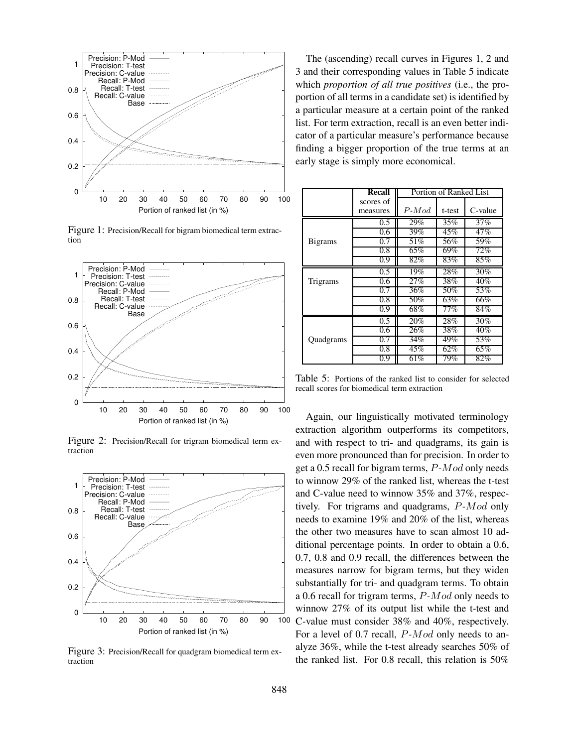

Figure 1: Precision/Recall for bigram biomedical term extraction



Figure 2: Precision/Recall for trigram biomedical term extraction



Figure 3: Precision/Recall for quadgram biomedical term extraction

The (ascending) recall curves in Figures 1, 2 and 3 and their corresponding values in Table 5 indicate which *proportion of all true positives* (i.e., the proportion of all terms in a candidate set) is identified by a particular measure at a certain point of the ranked list. For term extraction, recall is an even better indicator of a particular measure's performance because finding a bigger proportion of the true terms at an early stage is simply more economical.

|                 | Recall    | Portion of Ranked List |        |         |  |
|-----------------|-----------|------------------------|--------|---------|--|
|                 | scores of |                        |        |         |  |
|                 | measures  | $P-Mod$                | t-test | C-value |  |
|                 | 0.5       | 29%                    | 35%    | 37%     |  |
|                 | 0.6       | 39%                    | 45%    | 47%     |  |
| <b>B</b> igrams | 0.7       | 51\%                   | 56%    | 59%     |  |
|                 | 0.8       | 65%                    | 69%    | 72%     |  |
|                 | 0.9       | 82%                    | 83%    | 85%     |  |
|                 | 0.5       | 19%                    | 28%    | 30%     |  |
| Trigrams        | 0.6       | 27%                    | 38%    | 40%     |  |
|                 | 0.7       | 36%                    | 50%    | 53%     |  |
|                 | 0.8       | 50%                    | 63%    | 66%     |  |
|                 | 0.9       | 68%                    | 77%    | 84%     |  |
|                 | 0.5       | 20%                    | 28%    | 30%     |  |
|                 | 0.6       | 26%                    | 38%    | 40%     |  |
| Quadgrams       | 0.7       | 34%                    | 49%    | 53%     |  |
|                 | 0.8       | 45%                    | 62%    | 65%     |  |
|                 | 0.9       | 61%                    | 79%    | 82%     |  |

Table 5: Portions of the ranked list to consider for selected recall scores for biomedical term extraction

Again, our linguistically motivated terminology extraction algorithm outperforms its competitors, and with respect to tri- and quadgrams, its gain is even more pronounced than for precision. In order to get a 0.5 recall for bigram terms, P*-*Mod only needs to winnow 29% of the ranked list, whereas the t-test and C-value need to winnow 35% and 37%, respectively. For trigrams and quadgrams, P*-*Mod only needs to examine 19% and 20% of the list, whereas the other two measures have to scan almost 10 additional percentage points. In order to obtain a 0.6, 0.7, 0.8 and 0.9 recall, the differences between the measures narrow for bigram terms, but they widen substantially for tri- and quadgram terms. To obtain a 0.6 recall for trigram terms, P*-*Mod only needs to winnow 27% of its output list while the t-test and C-value must consider 38% and 40%, respectively. For a level of 0.7 recall, P*-*Mod only needs to analyze 36%, while the t-test already searches 50% of the ranked list. For 0.8 recall, this relation is 50%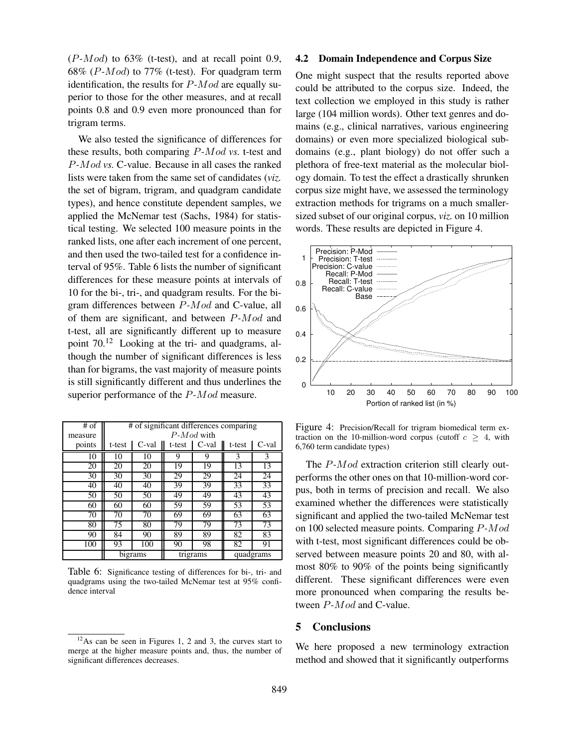(P*-*Mod) to 63% (t-test), and at recall point 0.9, 68% (P*-*Mod) to 77% (t-test). For quadgram term identification, the results for P*-*Mod are equally superior to those for the other measures, and at recall points 0.8 and 0.9 even more pronounced than for trigram terms.

We also tested the significance of differences for these results, both comparing P*-*Mod *vs.* t-test and P*-*Mod *vs.* C-value. Because in all cases the ranked lists were taken from the same set of candidates (*viz.* the set of bigram, trigram, and quadgram candidate types), and hence constitute dependent samples, we applied the McNemar test (Sachs, 1984) for statistical testing. We selected 100 measure points in the ranked lists, one after each increment of one percent, and then used the two-tailed test for a confidence interval of 95%. Table 6 lists the number of significant differences for these measure points at intervals of 10 for the bi-, tri-, and quadgram results. For the bigram differences between P*-*Mod and C-value, all of them are significant, and between P*-*Mod and t-test, all are significantly different up to measure point 70.<sup>12</sup> Looking at the tri- and quadgrams, although the number of significant differences is less than for bigrams, the vast majority of measure points is still significantly different and thus underlines the superior performance of the P*-*Mod measure.

| $#$ of  | # of significant differences comparing |                     |        |       |           |       |
|---------|----------------------------------------|---------------------|--------|-------|-----------|-------|
| measure | $P-Mod$ with                           |                     |        |       |           |       |
| points  | t-test                                 | C-val               | t-test | C-val | t-test    | C-val |
| 10      | 10                                     | 10                  | 9      | 9     | 3         | 3     |
| 20      | 20                                     | 20                  | 19     | 19    | 13        | 13    |
| 30      | 30                                     | 30                  | 29     | 29    | 24        | 24    |
| 40      | 40                                     | 40                  | 39     | 39    | 33        | 33    |
| 50      | 50                                     | 50                  | 49     | 49    | 43        | 43    |
| 60      | 60                                     | 60                  | 59     | 59    | 53        | 53    |
| 70      | 70                                     | 70                  | 69     | 69    | 63        | 63    |
| 80      | 75                                     | 80                  | 79     | 79    | 73        | 73    |
| 90      | 84                                     | 90                  | 89     | 89    | 82        | 83    |
| 100     | 93                                     | 100                 | 90     | 98    | 82        | 91    |
|         |                                        | bigrams<br>trigrams |        |       | quadgrams |       |

Table 6: Significance testing of differences for bi-, tri- and quadgrams using the two-tailed McNemar test at 95% confidence interval

#### **4.2 Domain Independence and Corpus Size**

One might suspect that the results reported above could be attributed to the corpus size. Indeed, the text collection we employed in this study is rather large (104 million words). Other text genres and domains (e.g., clinical narratives, various engineering domains) or even more specialized biological subdomains (e.g., plant biology) do not offer such a plethora of free-text material as the molecular biology domain. To test the effect a drastically shrunken corpus size might have, we assessed the terminology extraction methods for trigrams on a much smallersized subset of our original corpus, *viz.* on 10 million words. These results are depicted in Figure 4.



Figure 4: Precision/Recall for trigram biomedical term extraction on the 10-million-word corpus (cutoff  $c \geq 4$ , with 6,760 term candidate types)

The P*-*Mod extraction criterion still clearly outperforms the other ones on that 10-million-word corpus, both in terms of precision and recall. We also examined whether the differences were statistically significant and applied the two-tailed McNemar test on 100 selected measure points. Comparing P*-*Mod with t-test, most significant differences could be observed between measure points 20 and 80, with almost 80% to 90% of the points being significantly different. These significant differences were even more pronounced when comparing the results between P*-*Mod and C-value.

## **5 Conclusions**

We here proposed a new terminology extraction method and showed that it significantly outperforms

 $12$ As can be seen in Figures 1, 2 and 3, the curves start to merge at the higher measure points and, thus, the number of significant differences decreases.